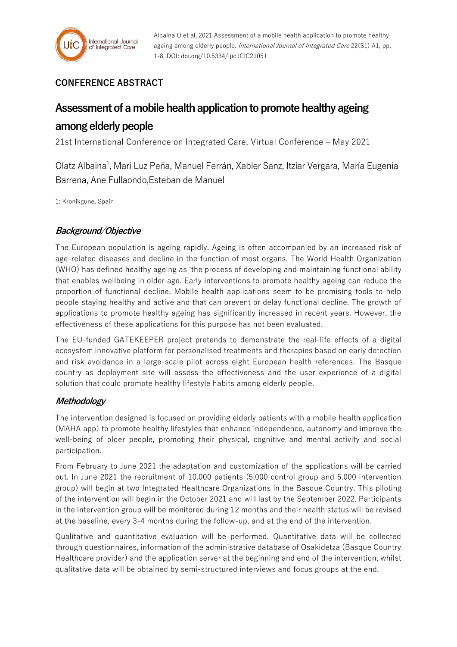## **CONFERENCE ABSTRACT**

# **Assessment of a mobile health application to promote healthy ageing**

# **among elderly people**

21st International Conference on Integrated Care, Virtual Conference – May 2021

Olatz Albaina<sup>1</sup>, Mari Luz Peña, Manuel Ferrán, Xabier Sanz, Itziar Vergara, María Eugenia Barrena, Ane Fullaondo,Esteban de Manuel

1: Kronikgune, Spain

### **Background/Objective**

The European population is ageing rapidly. Ageing is often accompanied by an increased risk of age-related diseases and decline in the function of most organs. The World Health Organization (WHO) has defined healthy ageing as 'the process of developing and maintaining functional ability that enables wellbeing in older age. Early interventions to promote healthy ageing can reduce the proportion of functional decline. Mobile health applications seem to be promising tools to help people staying healthy and active and that can prevent or delay functional decline. The growth of applications to promote healthy ageing has significantly increased in recent years. However, the effectiveness of these applications for this purpose has not been evaluated.

The EU-funded GATEKEEPER project pretends to demonstrate the real-life effects of a digital ecosystem innovative platform for personalised treatments and therapies based on early detection and risk avoidance in a large-scale pilot across eight European health references. The Basque country as deployment site will assess the effectiveness and the user experience of a digital solution that could promote healthy lifestyle habits among elderly people.

#### **Methodology**

The intervention designed is focused on providing elderly patients with a mobile health application (MAHA app) to promote healthy lifestyles that enhance independence, autonomy and improve the well-being of older people, promoting their physical, cognitive and mental activity and social participation.

From February to June 2021 the adaptation and customization of the applications will be carried out. In June 2021 the recruitment of 10.000 patients (5.000 control group and 5.000 intervention group) will begin at two Integrated Healthcare Organizations in the Basque Country. This piloting of the intervention will begin in the October 2021 and will last by the September 2022. Participants in the intervention group will be monitored during 12 months and their health status will be revised at the baseline, every 3-4 months during the follow-up, and at the end of the intervention.

Qualitative and quantitative evaluation will be performed. Quantitative data will be collected through questionnaires, information of the administrative database of Osakidetza (Basque Country Healthcare provider) and the application server at the beginning and end of the intervention, whilst qualitative data will be obtained by semi-structured interviews and focus groups at the end.